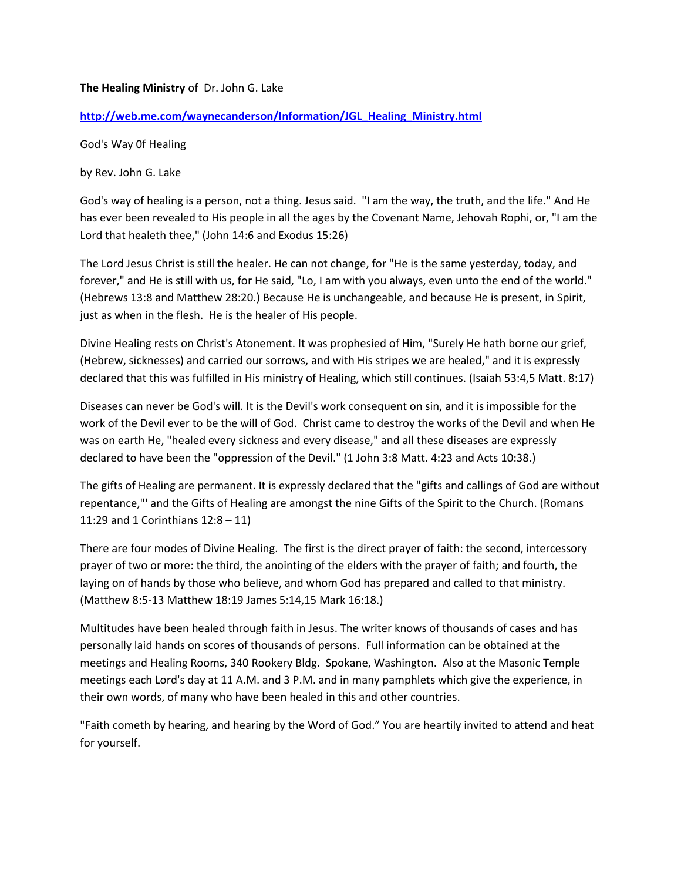### **The Healing Ministry** of Dr. John G. Lake

#### **[http://web.me.com/waynecanderson/Information/JGL\\_Healing\\_Ministry.html](http://web.me.com/waynecanderson/Information/JGL_Healing_Ministry.html)**

God's Way 0f Healing

by Rev. John G. Lake

God's way of healing is a person, not a thing. Jesus said. "I am the way, the truth, and the life." And He has ever been revealed to His people in all the ages by the Covenant Name, Jehovah Rophi, or, "I am the Lord that healeth thee," (John 14:6 and Exodus 15:26)

The Lord Jesus Christ is still the healer. He can not change, for "He is the same yesterday, today, and forever," and He is still with us, for He said, "Lo, I am with you always, even unto the end of the world." (Hebrews 13:8 and Matthew 28:20.) Because He is unchangeable, and because He is present, in Spirit, just as when in the flesh. He is the healer of His people.

Divine Healing rests on Christ's Atonement. It was prophesied of Him, "Surely He hath borne our grief, (Hebrew, sicknesses) and carried our sorrows, and with His stripes we are healed," and it is expressly declared that this was fulfilled in His ministry of Healing, which still continues. (Isaiah 53:4,5 Matt. 8:17)

Diseases can never be God's will. It is the Devil's work consequent on sin, and it is impossible for the work of the Devil ever to be the will of God. Christ came to destroy the works of the Devil and when He was on earth He, "healed every sickness and every disease," and all these diseases are expressly declared to have been the "oppression of the Devil." (1 John 3:8 Matt. 4:23 and Acts 10:38.)

The gifts of Healing are permanent. It is expressly declared that the "gifts and callings of God are without repentance,"' and the Gifts of Healing are amongst the nine Gifts of the Spirit to the Church. (Romans 11:29 and 1 Corinthians 12:8 – 11)

There are four modes of Divine Healing. The first is the direct prayer of faith: the second, intercessory prayer of two or more: the third, the anointing of the elders with the prayer of faith; and fourth, the laying on of hands by those who believe, and whom God has prepared and called to that ministry. (Matthew 8:5-13 Matthew 18:19 James 5:14,15 Mark 16:18.)

Multitudes have been healed through faith in Jesus. The writer knows of thousands of cases and has personally laid hands on scores of thousands of persons. Full information can be obtained at the meetings and Healing Rooms, 340 Rookery Bldg. Spokane, Washington. Also at the Masonic Temple meetings each Lord's day at 11 A.M. and 3 P.M. and in many pamphlets which give the experience, in their own words, of many who have been healed in this and other countries.

"Faith cometh by hearing, and hearing by the Word of God." You are heartily invited to attend and heat for yourself.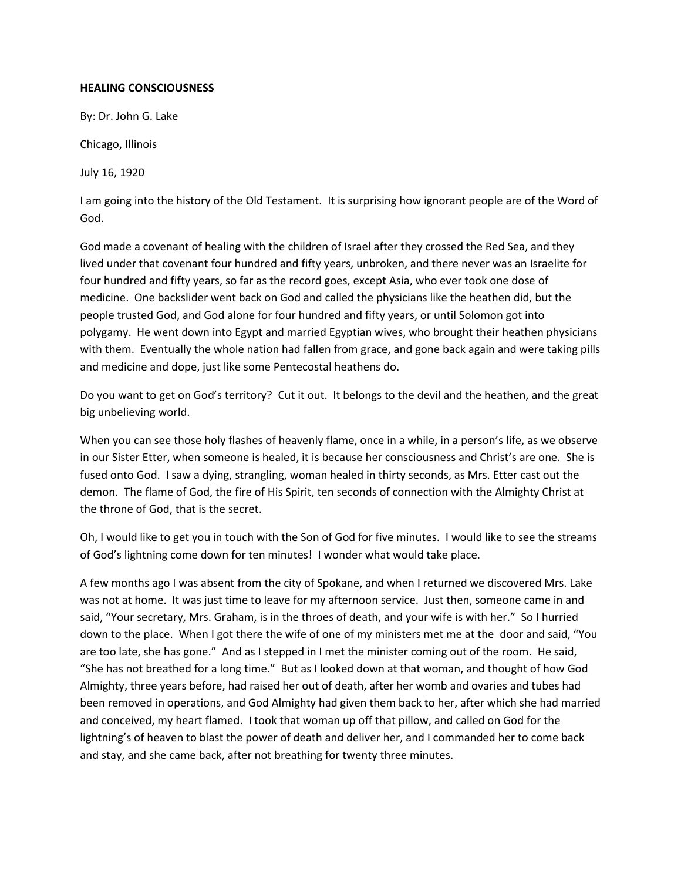#### **HEALING CONSCIOUSNESS**

By: Dr. John G. Lake

Chicago, Illinois

July 16, 1920

I am going into the history of the Old Testament. It is surprising how ignorant people are of the Word of God.

God made a covenant of healing with the children of Israel after they crossed the Red Sea, and they lived under that covenant four hundred and fifty years, unbroken, and there never was an Israelite for four hundred and fifty years, so far as the record goes, except Asia, who ever took one dose of medicine. One backslider went back on God and called the physicians like the heathen did, but the people trusted God, and God alone for four hundred and fifty years, or until Solomon got into polygamy. He went down into Egypt and married Egyptian wives, who brought their heathen physicians with them. Eventually the whole nation had fallen from grace, and gone back again and were taking pills and medicine and dope, just like some Pentecostal heathens do.

Do you want to get on God's territory? Cut it out. It belongs to the devil and the heathen, and the great big unbelieving world.

When you can see those holy flashes of heavenly flame, once in a while, in a person's life, as we observe in our Sister Etter, when someone is healed, it is because her consciousness and Christ's are one. She is fused onto God. I saw a dying, strangling, woman healed in thirty seconds, as Mrs. Etter cast out the demon. The flame of God, the fire of His Spirit, ten seconds of connection with the Almighty Christ at the throne of God, that is the secret.

Oh, I would like to get you in touch with the Son of God for five minutes. I would like to see the streams of God's lightning come down for ten minutes! I wonder what would take place.

A few months ago I was absent from the city of Spokane, and when I returned we discovered Mrs. Lake was not at home. It was just time to leave for my afternoon service. Just then, someone came in and said, "Your secretary, Mrs. Graham, is in the throes of death, and your wife is with her." So I hurried down to the place. When I got there the wife of one of my ministers met me at the door and said, "You are too late, she has gone." And as I stepped in I met the minister coming out of the room. He said, "She has not breathed for a long time." But as I looked down at that woman, and thought of how God Almighty, three years before, had raised her out of death, after her womb and ovaries and tubes had been removed in operations, and God Almighty had given them back to her, after which she had married and conceived, my heart flamed. I took that woman up off that pillow, and called on God for the lightning's of heaven to blast the power of death and deliver her, and I commanded her to come back and stay, and she came back, after not breathing for twenty three minutes.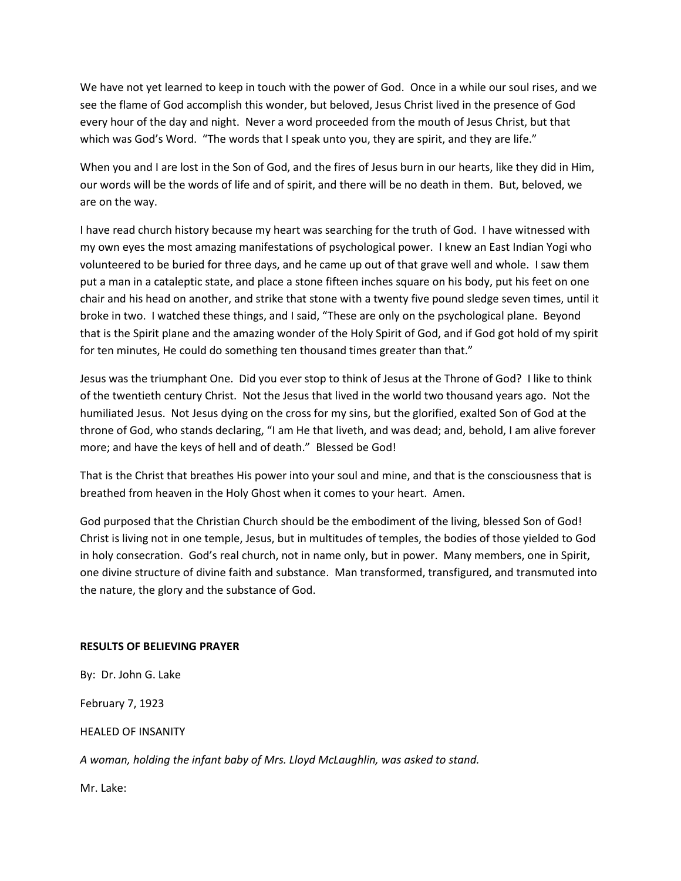We have not yet learned to keep in touch with the power of God. Once in a while our soul rises, and we see the flame of God accomplish this wonder, but beloved, Jesus Christ lived in the presence of God every hour of the day and night. Never a word proceeded from the mouth of Jesus Christ, but that which was God's Word. "The words that I speak unto you, they are spirit, and they are life."

When you and I are lost in the Son of God, and the fires of Jesus burn in our hearts, like they did in Him, our words will be the words of life and of spirit, and there will be no death in them. But, beloved, we are on the way.

I have read church history because my heart was searching for the truth of God. I have witnessed with my own eyes the most amazing manifestations of psychological power. I knew an East Indian Yogi who volunteered to be buried for three days, and he came up out of that grave well and whole. I saw them put a man in a cataleptic state, and place a stone fifteen inches square on his body, put his feet on one chair and his head on another, and strike that stone with a twenty five pound sledge seven times, until it broke in two. I watched these things, and I said, "These are only on the psychological plane. Beyond that is the Spirit plane and the amazing wonder of the Holy Spirit of God, and if God got hold of my spirit for ten minutes, He could do something ten thousand times greater than that."

Jesus was the triumphant One. Did you ever stop to think of Jesus at the Throne of God? I like to think of the twentieth century Christ. Not the Jesus that lived in the world two thousand years ago. Not the humiliated Jesus. Not Jesus dying on the cross for my sins, but the glorified, exalted Son of God at the throne of God, who stands declaring, "I am He that liveth, and was dead; and, behold, I am alive forever more; and have the keys of hell and of death." Blessed be God!

That is the Christ that breathes His power into your soul and mine, and that is the consciousness that is breathed from heaven in the Holy Ghost when it comes to your heart. Amen.

God purposed that the Christian Church should be the embodiment of the living, blessed Son of God! Christ is living not in one temple, Jesus, but in multitudes of temples, the bodies of those yielded to God in holy consecration. God's real church, not in name only, but in power. Many members, one in Spirit, one divine structure of divine faith and substance. Man transformed, transfigured, and transmuted into the nature, the glory and the substance of God.

#### **RESULTS OF BELIEVING PRAYER**

By: Dr. John G. Lake February 7, 1923 HEALED OF INSANITY *A woman, holding the infant baby of Mrs. Lloyd McLaughlin, was asked to stand.* Mr. Lake: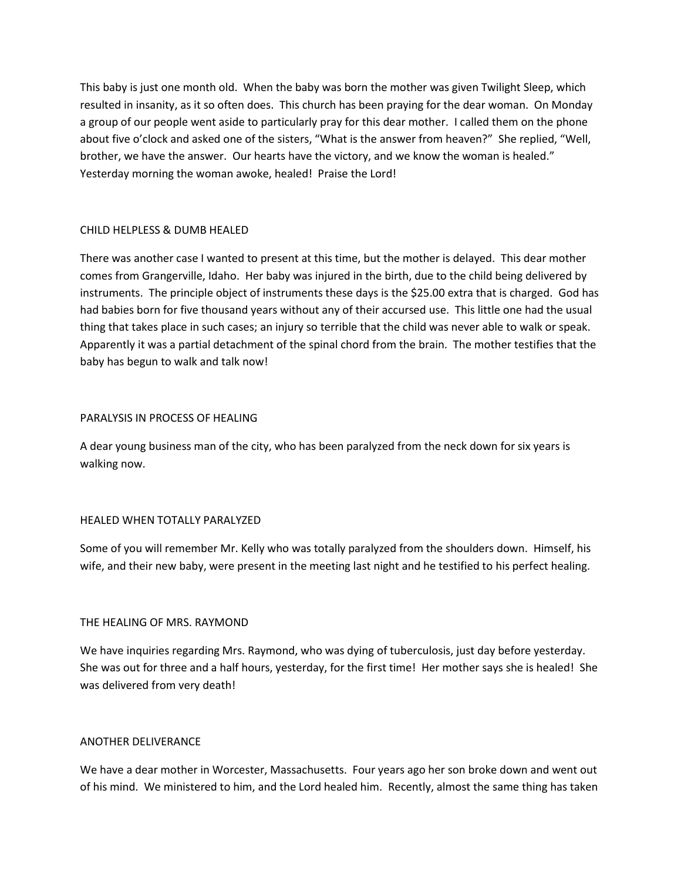This baby is just one month old. When the baby was born the mother was given Twilight Sleep, which resulted in insanity, as it so often does. This church has been praying for the dear woman. On Monday a group of our people went aside to particularly pray for this dear mother. I called them on the phone about five o'clock and asked one of the sisters, "What is the answer from heaven?" She replied, "Well, brother, we have the answer. Our hearts have the victory, and we know the woman is healed." Yesterday morning the woman awoke, healed! Praise the Lord!

### CHILD HELPLESS & DUMB HEALED

There was another case I wanted to present at this time, but the mother is delayed. This dear mother comes from Grangerville, Idaho. Her baby was injured in the birth, due to the child being delivered by instruments. The principle object of instruments these days is the \$25.00 extra that is charged. God has had babies born for five thousand years without any of their accursed use. This little one had the usual thing that takes place in such cases; an injury so terrible that the child was never able to walk or speak. Apparently it was a partial detachment of the spinal chord from the brain. The mother testifies that the baby has begun to walk and talk now!

### PARALYSIS IN PROCESS OF HEALING

A dear young business man of the city, who has been paralyzed from the neck down for six years is walking now.

### HEALED WHEN TOTALLY PARALYZED

Some of you will remember Mr. Kelly who was totally paralyzed from the shoulders down. Himself, his wife, and their new baby, were present in the meeting last night and he testified to his perfect healing.

### THE HEALING OF MRS. RAYMOND

We have inquiries regarding Mrs. Raymond, who was dying of tuberculosis, just day before yesterday. She was out for three and a half hours, yesterday, for the first time! Her mother says she is healed! She was delivered from very death!

#### ANOTHER DELIVERANCE

We have a dear mother in Worcester, Massachusetts. Four years ago her son broke down and went out of his mind. We ministered to him, and the Lord healed him. Recently, almost the same thing has taken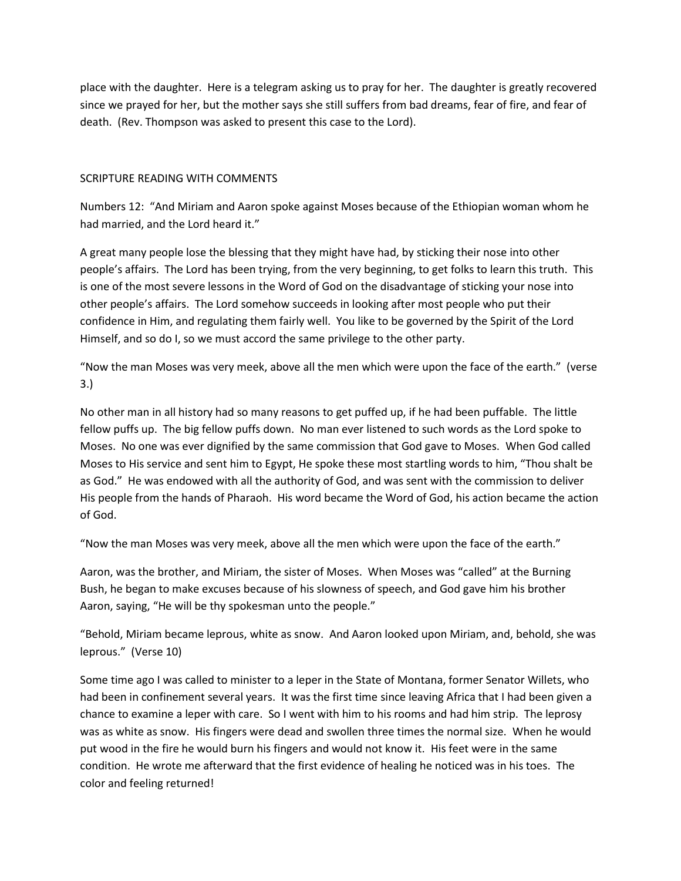place with the daughter. Here is a telegram asking us to pray for her. The daughter is greatly recovered since we prayed for her, but the mother says she still suffers from bad dreams, fear of fire, and fear of death. (Rev. Thompson was asked to present this case to the Lord).

# SCRIPTURE READING WITH COMMENTS

Numbers 12: "And Miriam and Aaron spoke against Moses because of the Ethiopian woman whom he had married, and the Lord heard it."

A great many people lose the blessing that they might have had, by sticking their nose into other people's affairs. The Lord has been trying, from the very beginning, to get folks to learn this truth. This is one of the most severe lessons in the Word of God on the disadvantage of sticking your nose into other people's affairs. The Lord somehow succeeds in looking after most people who put their confidence in Him, and regulating them fairly well. You like to be governed by the Spirit of the Lord Himself, and so do I, so we must accord the same privilege to the other party.

"Now the man Moses was very meek, above all the men which were upon the face of the earth." (verse 3.)

No other man in all history had so many reasons to get puffed up, if he had been puffable. The little fellow puffs up. The big fellow puffs down. No man ever listened to such words as the Lord spoke to Moses. No one was ever dignified by the same commission that God gave to Moses. When God called Moses to His service and sent him to Egypt, He spoke these most startling words to him, "Thou shalt be as God." He was endowed with all the authority of God, and was sent with the commission to deliver His people from the hands of Pharaoh. His word became the Word of God, his action became the action of God.

"Now the man Moses was very meek, above all the men which were upon the face of the earth."

Aaron, was the brother, and Miriam, the sister of Moses. When Moses was "called" at the Burning Bush, he began to make excuses because of his slowness of speech, and God gave him his brother Aaron, saying, "He will be thy spokesman unto the people."

"Behold, Miriam became leprous, white as snow. And Aaron looked upon Miriam, and, behold, she was leprous." (Verse 10)

Some time ago I was called to minister to a leper in the State of Montana, former Senator Willets, who had been in confinement several years. It was the first time since leaving Africa that I had been given a chance to examine a leper with care. So I went with him to his rooms and had him strip. The leprosy was as white as snow. His fingers were dead and swollen three times the normal size. When he would put wood in the fire he would burn his fingers and would not know it. His feet were in the same condition. He wrote me afterward that the first evidence of healing he noticed was in his toes. The color and feeling returned!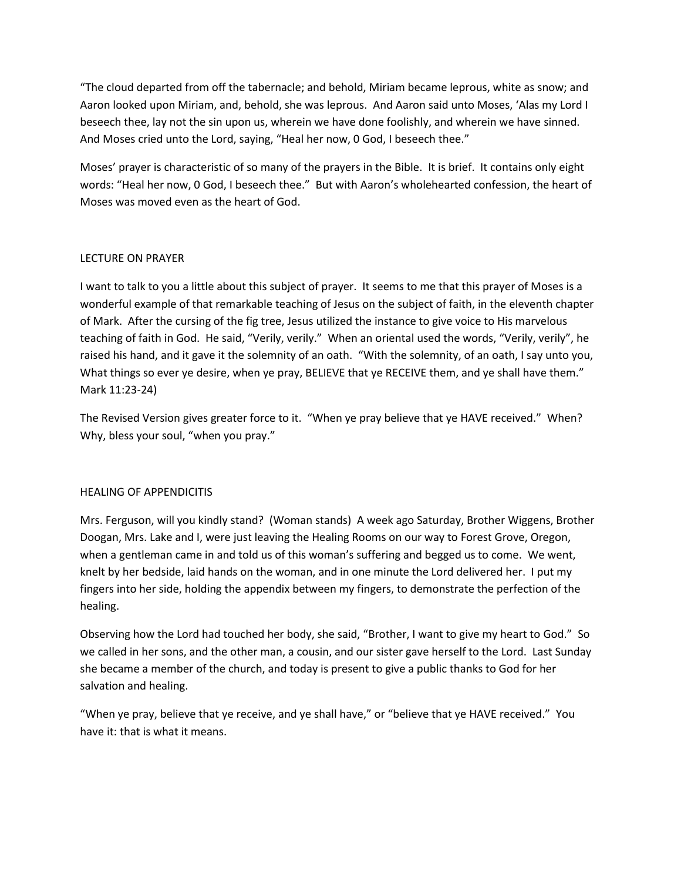"The cloud departed from off the tabernacle; and behold, Miriam became leprous, white as snow; and Aaron looked upon Miriam, and, behold, she was leprous. And Aaron said unto Moses, 'Alas my Lord I beseech thee, lay not the sin upon us, wherein we have done foolishly, and wherein we have sinned. And Moses cried unto the Lord, saying, "Heal her now, 0 God, I beseech thee."

Moses' prayer is characteristic of so many of the prayers in the Bible. It is brief. It contains only eight words: "Heal her now, 0 God, I beseech thee." But with Aaron's wholehearted confession, the heart of Moses was moved even as the heart of God.

### LECTURE ON PRAYER

I want to talk to you a little about this subject of prayer. It seems to me that this prayer of Moses is a wonderful example of that remarkable teaching of Jesus on the subject of faith, in the eleventh chapter of Mark. After the cursing of the fig tree, Jesus utilized the instance to give voice to His marvelous teaching of faith in God. He said, "Verily, verily." When an oriental used the words, "Verily, verily", he raised his hand, and it gave it the solemnity of an oath. "With the solemnity, of an oath, I say unto you, What things so ever ye desire, when ye pray, BELIEVE that ye RECEIVE them, and ye shall have them." Mark 11:23-24)

The Revised Version gives greater force to it. "When ye pray believe that ye HAVE received." When? Why, bless your soul, "when you pray."

### HEALING OF APPENDICITIS

Mrs. Ferguson, will you kindly stand? (Woman stands) A week ago Saturday, Brother Wiggens, Brother Doogan, Mrs. Lake and I, were just leaving the Healing Rooms on our way to Forest Grove, Oregon, when a gentleman came in and told us of this woman's suffering and begged us to come. We went, knelt by her bedside, laid hands on the woman, and in one minute the Lord delivered her. I put my fingers into her side, holding the appendix between my fingers, to demonstrate the perfection of the healing.

Observing how the Lord had touched her body, she said, "Brother, I want to give my heart to God." So we called in her sons, and the other man, a cousin, and our sister gave herself to the Lord. Last Sunday she became a member of the church, and today is present to give a public thanks to God for her salvation and healing.

"When ye pray, believe that ye receive, and ye shall have," or "believe that ye HAVE received." You have it: that is what it means.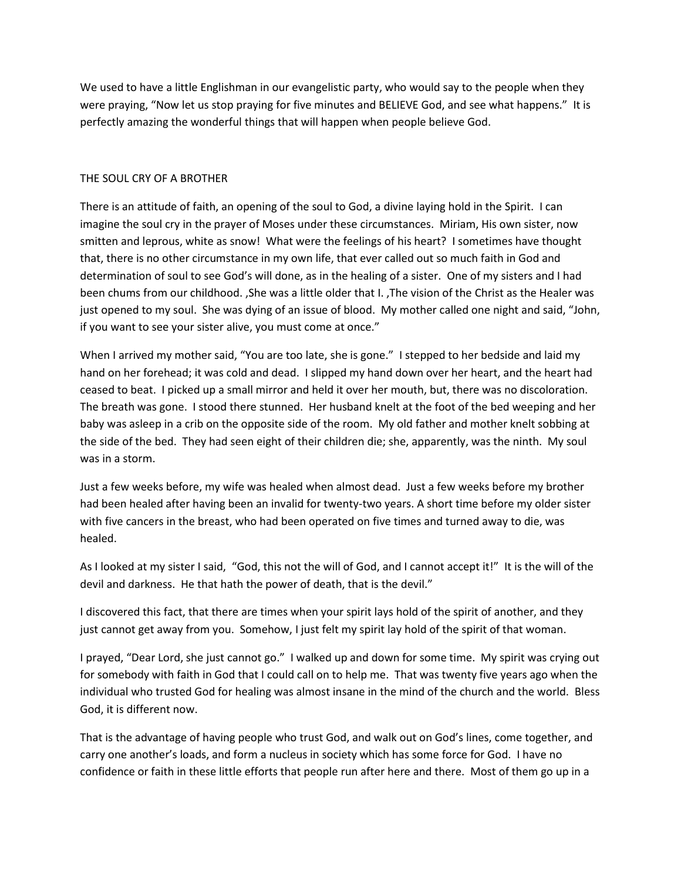We used to have a little Englishman in our evangelistic party, who would say to the people when they were praying, "Now let us stop praying for five minutes and BELIEVE God, and see what happens." It is perfectly amazing the wonderful things that will happen when people believe God.

## THE SOUL CRY OF A BROTHER

There is an attitude of faith, an opening of the soul to God, a divine laying hold in the Spirit. I can imagine the soul cry in the prayer of Moses under these circumstances. Miriam, His own sister, now smitten and leprous, white as snow! What were the feelings of his heart? I sometimes have thought that, there is no other circumstance in my own life, that ever called out so much faith in God and determination of soul to see God's will done, as in the healing of a sister. One of my sisters and I had been chums from our childhood. ,She was a little older that I. ,The vision of the Christ as the Healer was just opened to my soul. She was dying of an issue of blood. My mother called one night and said, "John, if you want to see your sister alive, you must come at once."

When I arrived my mother said, "You are too late, she is gone." I stepped to her bedside and laid my hand on her forehead; it was cold and dead. I slipped my hand down over her heart, and the heart had ceased to beat. I picked up a small mirror and held it over her mouth, but, there was no discoloration. The breath was gone. I stood there stunned. Her husband knelt at the foot of the bed weeping and her baby was asleep in a crib on the opposite side of the room. My old father and mother knelt sobbing at the side of the bed. They had seen eight of their children die; she, apparently, was the ninth. My soul was in a storm.

Just a few weeks before, my wife was healed when almost dead. Just a few weeks before my brother had been healed after having been an invalid for twenty-two years. A short time before my older sister with five cancers in the breast, who had been operated on five times and turned away to die, was healed.

As I looked at my sister I said, "God, this not the will of God, and I cannot accept it!" It is the will of the devil and darkness. He that hath the power of death, that is the devil."

I discovered this fact, that there are times when your spirit lays hold of the spirit of another, and they just cannot get away from you. Somehow, I just felt my spirit lay hold of the spirit of that woman.

I prayed, "Dear Lord, she just cannot go." I walked up and down for some time. My spirit was crying out for somebody with faith in God that I could call on to help me. That was twenty five years ago when the individual who trusted God for healing was almost insane in the mind of the church and the world. Bless God, it is different now.

That is the advantage of having people who trust God, and walk out on God's lines, come together, and carry one another's loads, and form a nucleus in society which has some force for God. I have no confidence or faith in these little efforts that people run after here and there. Most of them go up in a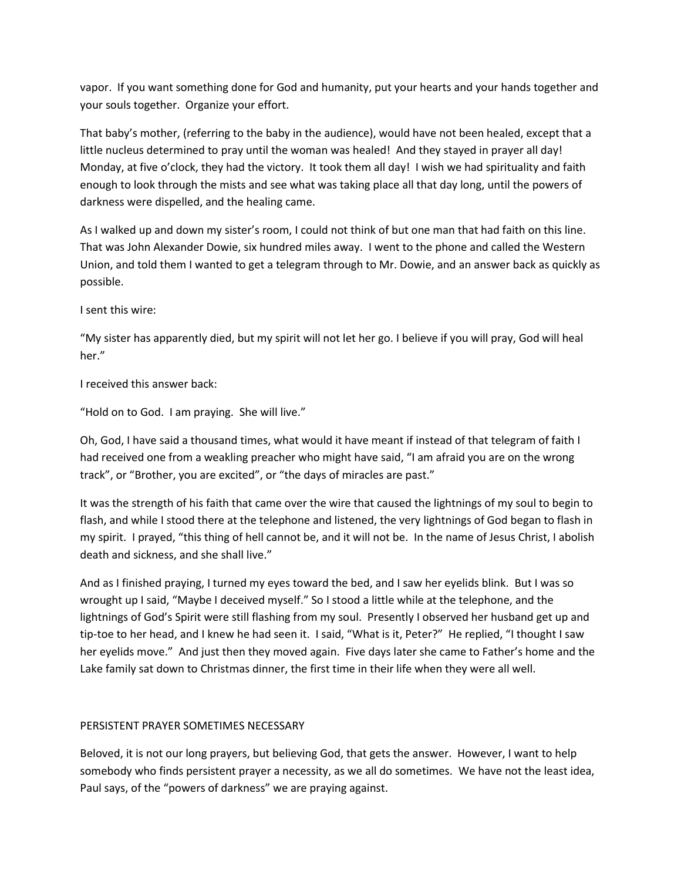vapor. If you want something done for God and humanity, put your hearts and your hands together and your souls together. Organize your effort.

That baby's mother, (referring to the baby in the audience), would have not been healed, except that a little nucleus determined to pray until the woman was healed! And they stayed in prayer all day! Monday, at five o'clock, they had the victory. It took them all day! I wish we had spirituality and faith enough to look through the mists and see what was taking place all that day long, until the powers of darkness were dispelled, and the healing came.

As I walked up and down my sister's room, I could not think of but one man that had faith on this line. That was John Alexander Dowie, six hundred miles away. I went to the phone and called the Western Union, and told them I wanted to get a telegram through to Mr. Dowie, and an answer back as quickly as possible.

I sent this wire:

"My sister has apparently died, but my spirit will not let her go. I believe if you will pray, God will heal her."

I received this answer back:

"Hold on to God. I am praying. She will live."

Oh, God, I have said a thousand times, what would it have meant if instead of that telegram of faith I had received one from a weakling preacher who might have said, "I am afraid you are on the wrong track", or "Brother, you are excited", or "the days of miracles are past."

It was the strength of his faith that came over the wire that caused the lightnings of my soul to begin to flash, and while I stood there at the telephone and listened, the very lightnings of God began to flash in my spirit. I prayed, "this thing of hell cannot be, and it will not be. In the name of Jesus Christ, I abolish death and sickness, and she shall live."

And as I finished praying, I turned my eyes toward the bed, and I saw her eyelids blink. But I was so wrought up I said, "Maybe I deceived myself." So I stood a little while at the telephone, and the lightnings of God's Spirit were still flashing from my soul. Presently I observed her husband get up and tip-toe to her head, and I knew he had seen it. I said, "What is it, Peter?" He replied, "I thought I saw her eyelids move." And just then they moved again. Five days later she came to Father's home and the Lake family sat down to Christmas dinner, the first time in their life when they were all well.

# PERSISTENT PRAYER SOMETIMES NECESSARY

Beloved, it is not our long prayers, but believing God, that gets the answer. However, I want to help somebody who finds persistent prayer a necessity, as we all do sometimes. We have not the least idea, Paul says, of the "powers of darkness" we are praying against.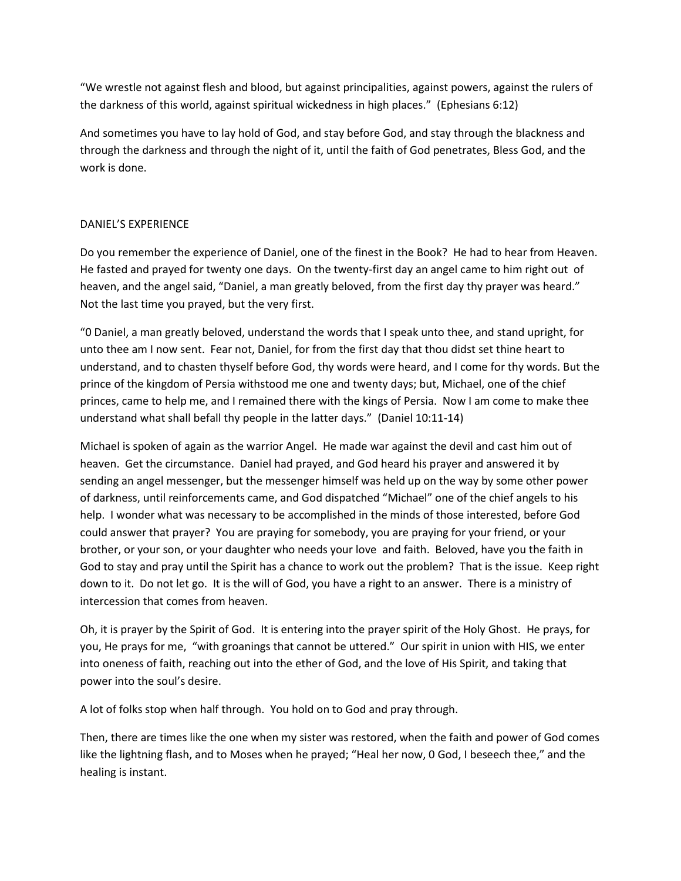"We wrestle not against flesh and blood, but against principalities, against powers, against the rulers of the darkness of this world, against spiritual wickedness in high places." (Ephesians 6:12)

And sometimes you have to lay hold of God, and stay before God, and stay through the blackness and through the darkness and through the night of it, until the faith of God penetrates, Bless God, and the work is done.

# DANIEL'S EXPERIENCE

Do you remember the experience of Daniel, one of the finest in the Book? He had to hear from Heaven. He fasted and prayed for twenty one days. On the twenty-first day an angel came to him right out of heaven, and the angel said, "Daniel, a man greatly beloved, from the first day thy prayer was heard." Not the last time you prayed, but the very first.

"0 Daniel, a man greatly beloved, understand the words that I speak unto thee, and stand upright, for unto thee am I now sent. Fear not, Daniel, for from the first day that thou didst set thine heart to understand, and to chasten thyself before God, thy words were heard, and I come for thy words. But the prince of the kingdom of Persia withstood me one and twenty days; but, Michael, one of the chief princes, came to help me, and I remained there with the kings of Persia. Now I am come to make thee understand what shall befall thy people in the latter days." (Daniel 10:11-14)

Michael is spoken of again as the warrior Angel. He made war against the devil and cast him out of heaven. Get the circumstance. Daniel had prayed, and God heard his prayer and answered it by sending an angel messenger, but the messenger himself was held up on the way by some other power of darkness, until reinforcements came, and God dispatched "Michael" one of the chief angels to his help. I wonder what was necessary to be accomplished in the minds of those interested, before God could answer that prayer? You are praying for somebody, you are praying for your friend, or your brother, or your son, or your daughter who needs your love and faith. Beloved, have you the faith in God to stay and pray until the Spirit has a chance to work out the problem? That is the issue. Keep right down to it. Do not let go. It is the will of God, you have a right to an answer. There is a ministry of intercession that comes from heaven.

Oh, it is prayer by the Spirit of God. It is entering into the prayer spirit of the Holy Ghost. He prays, for you, He prays for me, "with groanings that cannot be uttered." Our spirit in union with HIS, we enter into oneness of faith, reaching out into the ether of God, and the love of His Spirit, and taking that power into the soul's desire.

A lot of folks stop when half through. You hold on to God and pray through.

Then, there are times like the one when my sister was restored, when the faith and power of God comes like the lightning flash, and to Moses when he prayed; "Heal her now, 0 God, I beseech thee," and the healing is instant.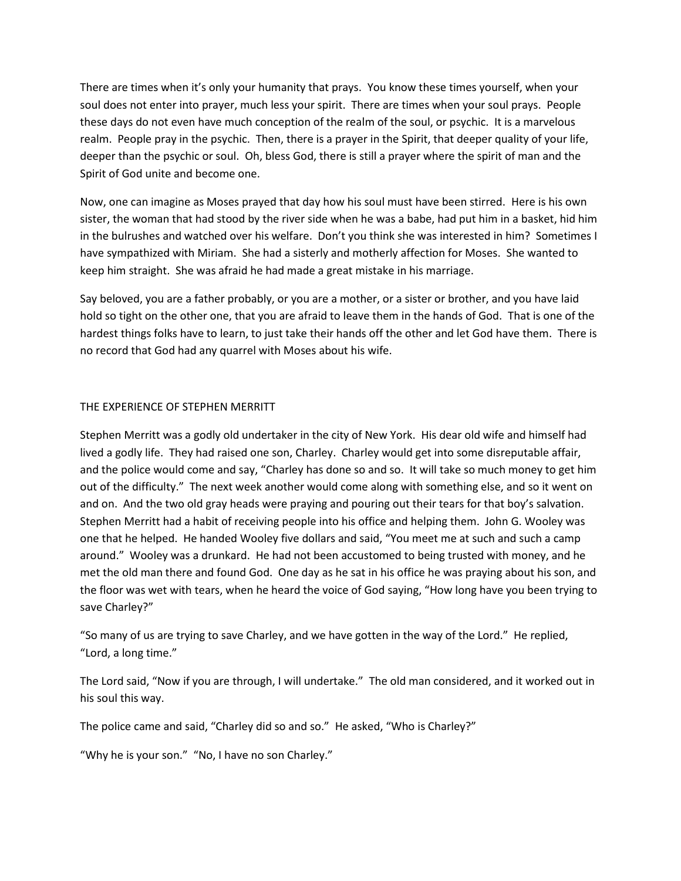There are times when it's only your humanity that prays. You know these times yourself, when your soul does not enter into prayer, much less your spirit. There are times when your soul prays. People these days do not even have much conception of the realm of the soul, or psychic. It is a marvelous realm. People pray in the psychic. Then, there is a prayer in the Spirit, that deeper quality of your life, deeper than the psychic or soul. Oh, bless God, there is still a prayer where the spirit of man and the Spirit of God unite and become one.

Now, one can imagine as Moses prayed that day how his soul must have been stirred. Here is his own sister, the woman that had stood by the river side when he was a babe, had put him in a basket, hid him in the bulrushes and watched over his welfare. Don't you think she was interested in him? Sometimes I have sympathized with Miriam. She had a sisterly and motherly affection for Moses. She wanted to keep him straight. She was afraid he had made a great mistake in his marriage.

Say beloved, you are a father probably, or you are a mother, or a sister or brother, and you have laid hold so tight on the other one, that you are afraid to leave them in the hands of God. That is one of the hardest things folks have to learn, to just take their hands off the other and let God have them. There is no record that God had any quarrel with Moses about his wife.

### THE EXPERIENCE OF STEPHEN MERRITT

Stephen Merritt was a godly old undertaker in the city of New York. His dear old wife and himself had lived a godly life. They had raised one son, Charley. Charley would get into some disreputable affair, and the police would come and say, "Charley has done so and so. It will take so much money to get him out of the difficulty." The next week another would come along with something else, and so it went on and on. And the two old gray heads were praying and pouring out their tears for that boy's salvation. Stephen Merritt had a habit of receiving people into his office and helping them. John G. Wooley was one that he helped. He handed Wooley five dollars and said, "You meet me at such and such a camp around." Wooley was a drunkard. He had not been accustomed to being trusted with money, and he met the old man there and found God. One day as he sat in his office he was praying about his son, and the floor was wet with tears, when he heard the voice of God saying, "How long have you been trying to save Charley?"

"So many of us are trying to save Charley, and we have gotten in the way of the Lord." He replied, "Lord, a long time."

The Lord said, "Now if you are through, I will undertake." The old man considered, and it worked out in his soul this way.

The police came and said, "Charley did so and so." He asked, "Who is Charley?"

"Why he is your son." "No, I have no son Charley."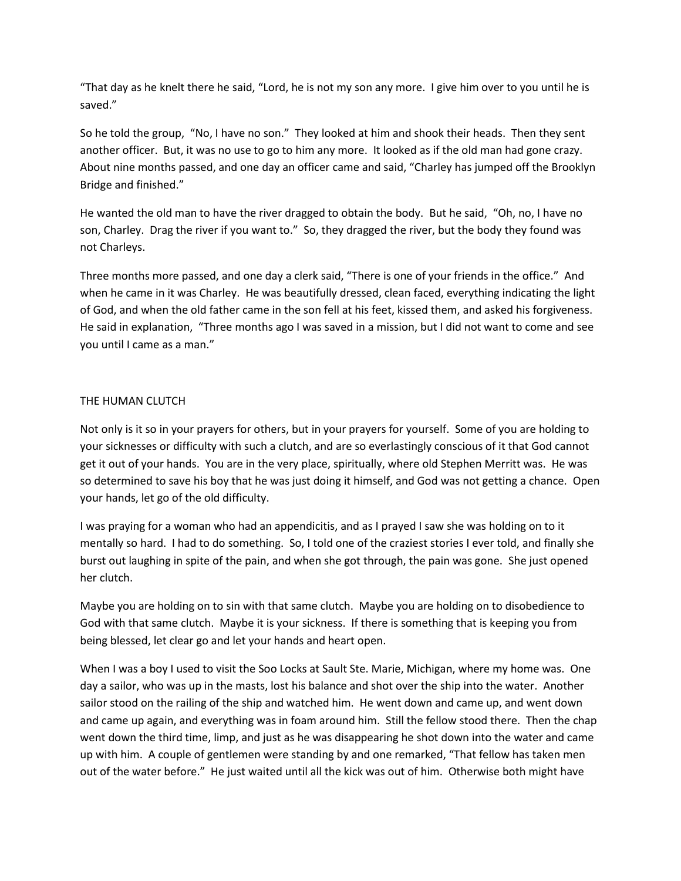"That day as he knelt there he said, "Lord, he is not my son any more. I give him over to you until he is saved."

So he told the group, "No, I have no son." They looked at him and shook their heads. Then they sent another officer. But, it was no use to go to him any more. It looked as if the old man had gone crazy. About nine months passed, and one day an officer came and said, "Charley has jumped off the Brooklyn Bridge and finished."

He wanted the old man to have the river dragged to obtain the body. But he said, "Oh, no, I have no son, Charley. Drag the river if you want to." So, they dragged the river, but the body they found was not Charleys.

Three months more passed, and one day a clerk said, "There is one of your friends in the office." And when he came in it was Charley. He was beautifully dressed, clean faced, everything indicating the light of God, and when the old father came in the son fell at his feet, kissed them, and asked his forgiveness. He said in explanation, "Three months ago I was saved in a mission, but I did not want to come and see you until I came as a man."

### THE HUMAN CLUTCH

Not only is it so in your prayers for others, but in your prayers for yourself. Some of you are holding to your sicknesses or difficulty with such a clutch, and are so everlastingly conscious of it that God cannot get it out of your hands. You are in the very place, spiritually, where old Stephen Merritt was. He was so determined to save his boy that he was just doing it himself, and God was not getting a chance. Open your hands, let go of the old difficulty.

I was praying for a woman who had an appendicitis, and as I prayed I saw she was holding on to it mentally so hard. I had to do something. So, I told one of the craziest stories I ever told, and finally she burst out laughing in spite of the pain, and when she got through, the pain was gone. She just opened her clutch.

Maybe you are holding on to sin with that same clutch. Maybe you are holding on to disobedience to God with that same clutch. Maybe it is your sickness. If there is something that is keeping you from being blessed, let clear go and let your hands and heart open.

When I was a boy I used to visit the Soo Locks at Sault Ste. Marie, Michigan, where my home was. One day a sailor, who was up in the masts, lost his balance and shot over the ship into the water. Another sailor stood on the railing of the ship and watched him. He went down and came up, and went down and came up again, and everything was in foam around him. Still the fellow stood there. Then the chap went down the third time, limp, and just as he was disappearing he shot down into the water and came up with him. A couple of gentlemen were standing by and one remarked, "That fellow has taken men out of the water before." He just waited until all the kick was out of him. Otherwise both might have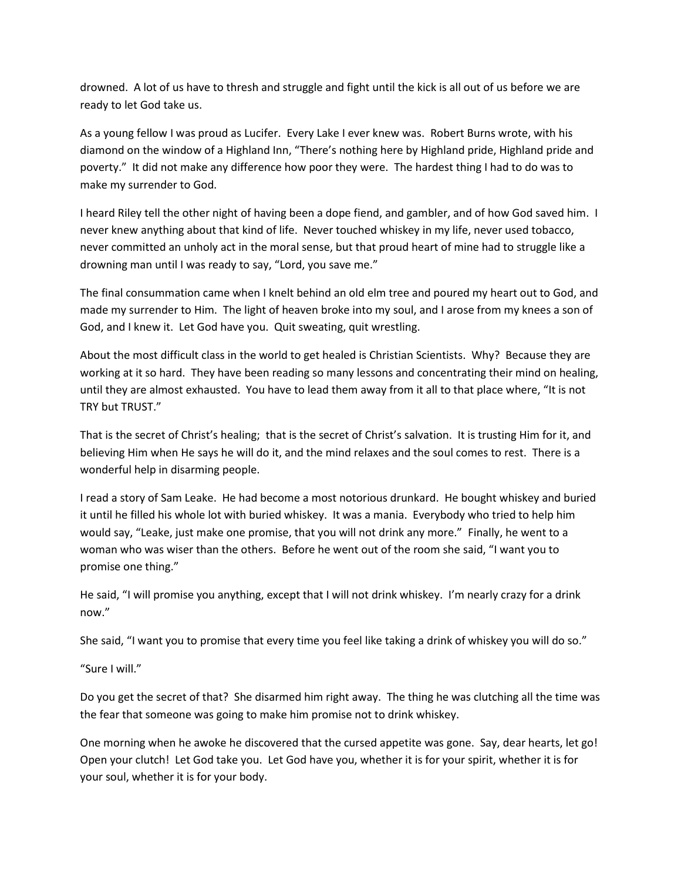drowned. A lot of us have to thresh and struggle and fight until the kick is all out of us before we are ready to let God take us.

As a young fellow I was proud as Lucifer. Every Lake I ever knew was. Robert Burns wrote, with his diamond on the window of a Highland Inn, "There's nothing here by Highland pride, Highland pride and poverty." It did not make any difference how poor they were. The hardest thing I had to do was to make my surrender to God.

I heard Riley tell the other night of having been a dope fiend, and gambler, and of how God saved him. I never knew anything about that kind of life. Never touched whiskey in my life, never used tobacco, never committed an unholy act in the moral sense, but that proud heart of mine had to struggle like a drowning man until I was ready to say, "Lord, you save me."

The final consummation came when I knelt behind an old elm tree and poured my heart out to God, and made my surrender to Him. The light of heaven broke into my soul, and I arose from my knees a son of God, and I knew it. Let God have you. Quit sweating, quit wrestling.

About the most difficult class in the world to get healed is Christian Scientists. Why? Because they are working at it so hard. They have been reading so many lessons and concentrating their mind on healing, until they are almost exhausted. You have to lead them away from it all to that place where, "It is not TRY but TRUST."

That is the secret of Christ's healing; that is the secret of Christ's salvation. It is trusting Him for it, and believing Him when He says he will do it, and the mind relaxes and the soul comes to rest. There is a wonderful help in disarming people.

I read a story of Sam Leake. He had become a most notorious drunkard. He bought whiskey and buried it until he filled his whole lot with buried whiskey. It was a mania. Everybody who tried to help him would say, "Leake, just make one promise, that you will not drink any more." Finally, he went to a woman who was wiser than the others. Before he went out of the room she said, "I want you to promise one thing."

He said, "I will promise you anything, except that I will not drink whiskey. I'm nearly crazy for a drink now."

She said, "I want you to promise that every time you feel like taking a drink of whiskey you will do so."

"Sure I will."

Do you get the secret of that? She disarmed him right away. The thing he was clutching all the time was the fear that someone was going to make him promise not to drink whiskey.

One morning when he awoke he discovered that the cursed appetite was gone. Say, dear hearts, let go! Open your clutch! Let God take you. Let God have you, whether it is for your spirit, whether it is for your soul, whether it is for your body.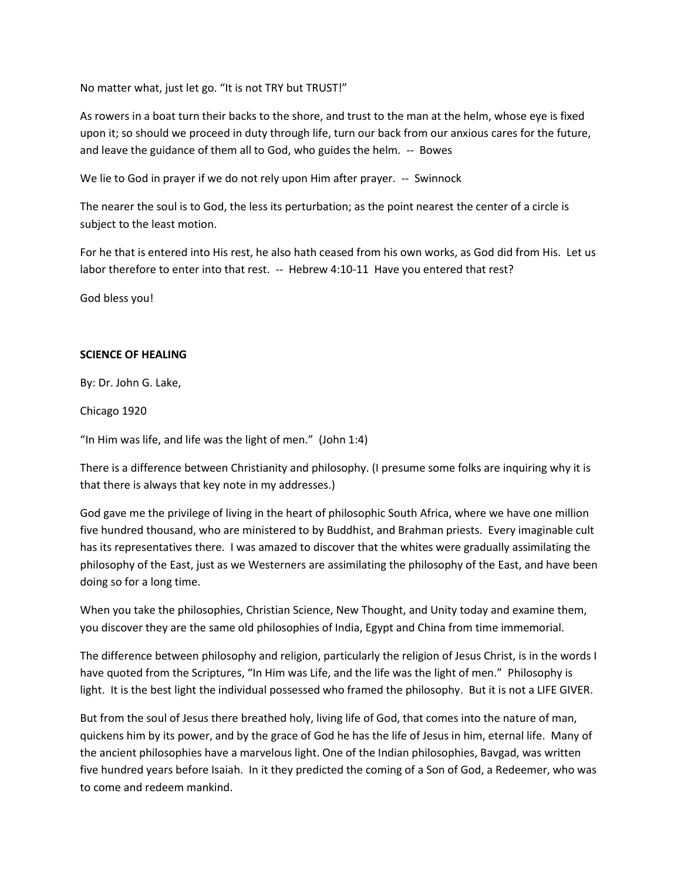No matter what, just let go. "It is not TRY but TRUST!"

As rowers in a boat turn their backs to the shore, and trust to the man at the helm, whose eye is fixed upon it; so should we proceed in duty through life, turn our back from our anxious cares for the future, and leave the guidance of them all to God, who guides the helm. -- Bowes

We lie to God in prayer if we do not rely upon Him after prayer. -- Swinnock

The nearer the soul is to God, the less its perturbation; as the point nearest the center of a circle is subject to the least motion.

For he that is entered into His rest, he also hath ceased from his own works, as God did from His. Let us labor therefore to enter into that rest. -- Hebrew 4:10-11 Have you entered that rest?

God bless you!

#### **SCIENCE OF HEALING**

By: Dr. John G. Lake,

Chicago 1920

"In Him was life, and life was the light of men." (John 1:4)

There is a difference between Christianity and philosophy. (I presume some folks are inquiring why it is that there is always that key note in my addresses.)

God gave me the privilege of living in the heart of philosophic South Africa, where we have one million five hundred thousand, who are ministered to by Buddhist, and Brahman priests. Every imaginable cult has its representatives there. I was amazed to discover that the whites were gradually assimilating the philosophy of the East, just as we Westerners are assimilating the philosophy of the East, and have been doing so for a long time.

When you take the philosophies, Christian Science, New Thought, and Unity today and examine them, you discover they are the same old philosophies of India, Egypt and China from time immemorial.

The difference between philosophy and religion, particularly the religion of Jesus Christ, is in the words I have quoted from the Scriptures, "In Him was Life, and the life was the light of men." Philosophy is light. It is the best light the individual possessed who framed the philosophy. But it is not a LIFE GIVER.

But from the soul of Jesus there breathed holy, living life of God, that comes into the nature of man, quickens him by its power, and by the grace of God he has the life of Jesus in him, eternal life. Many of the ancient philosophies have a marvelous light. One of the Indian philosophies, Bavgad, was written five hundred years before Isaiah. In it they predicted the coming of a Son of God, a Redeemer, who was to come and redeem mankind.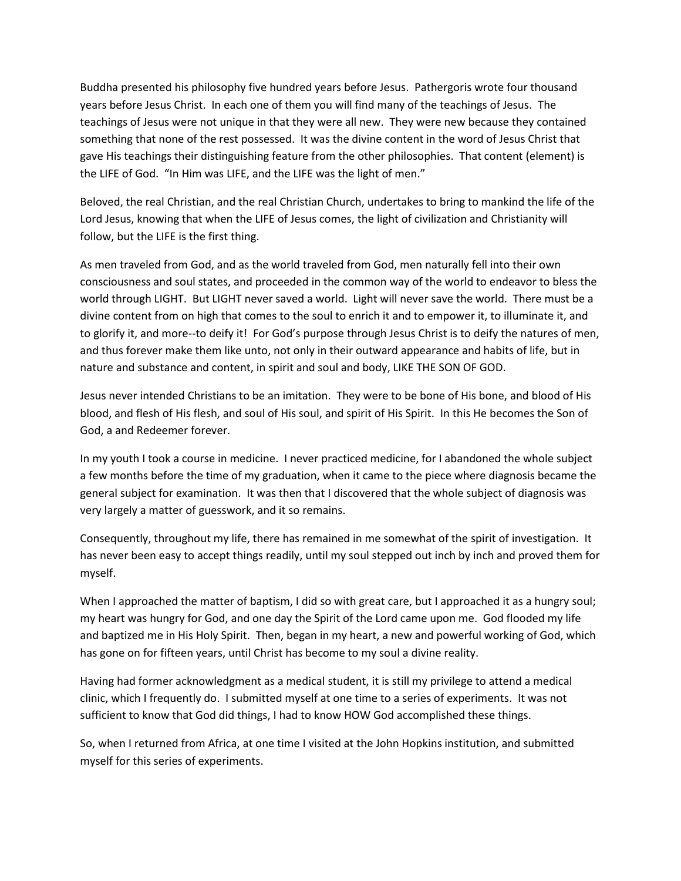Buddha presented his philosophy five hundred years before Jesus. Pathergoris wrote four thousand years before Jesus Christ. In each one of them you will find many of the teachings of Jesus. The teachings of Jesus were not unique in that they were all new. They were new because they contained something that none of the rest possessed. It was the divine content in the word of Jesus Christ that gave His teachings their distinguishing feature from the other philosophies. That content (element) is the LIFE of God. "In Him was LIFE, and the LIFE was the light of men."

Beloved, the real Christian, and the real Christian Church, undertakes to bring to mankind the life of the Lord Jesus, knowing that when the LIFE of Jesus comes, the light of civilization and Christianity will follow, but the LIFE is the first thing.

As men traveled from God, and as the world traveled from God, men naturally fell into their own consciousness and soul states, and proceeded in the common way of the world to endeavor to bless the world through LIGHT. But LIGHT never saved a world. Light will never save the world. There must be a divine content from on high that comes to the soul to enrich it and to empower it, to illuminate it, and to glorify it, and more--to deify it! For God's purpose through Jesus Christ is to deify the natures of men, and thus forever make them like unto, not only in their outward appearance and habits of life, but in nature and substance and content, in spirit and soul and body, LIKE THE SON OF GOD.

Jesus never intended Christians to be an imitation. They were to be bone of His bone, and blood of His blood, and flesh of His flesh, and soul of His soul, and spirit of His Spirit. In this He becomes the Son of God, a and Redeemer forever.

In my youth I took a course in medicine. I never practiced medicine, for I abandoned the whole subject a few months before the time of my graduation, when it came to the piece where diagnosis became the general subject for examination. It was then that I discovered that the whole subject of diagnosis was very largely a matter of guesswork, and it so remains.

Consequently, throughout my life, there has remained in me somewhat of the spirit of investigation. It has never been easy to accept things readily, until my soul stepped out inch by inch and proved them for myself.

When I approached the matter of baptism, I did so with great care, but I approached it as a hungry soul; my heart was hungry for God, and one day the Spirit of the Lord came upon me. God flooded my life and baptized me in His Holy Spirit. Then, began in my heart, a new and powerful working of God, which has gone on for fifteen years, until Christ has become to my soul a divine reality.

Having had former acknowledgment as a medical student, it is still my privilege to attend a medical clinic, which I frequently do. I submitted myself at one time to a series of experiments. It was not sufficient to know that God did things, I had to know HOW God accomplished these things.

So, when I returned from Africa, at one time I visited at the John Hopkins institution, and submitted myself for this series of experiments.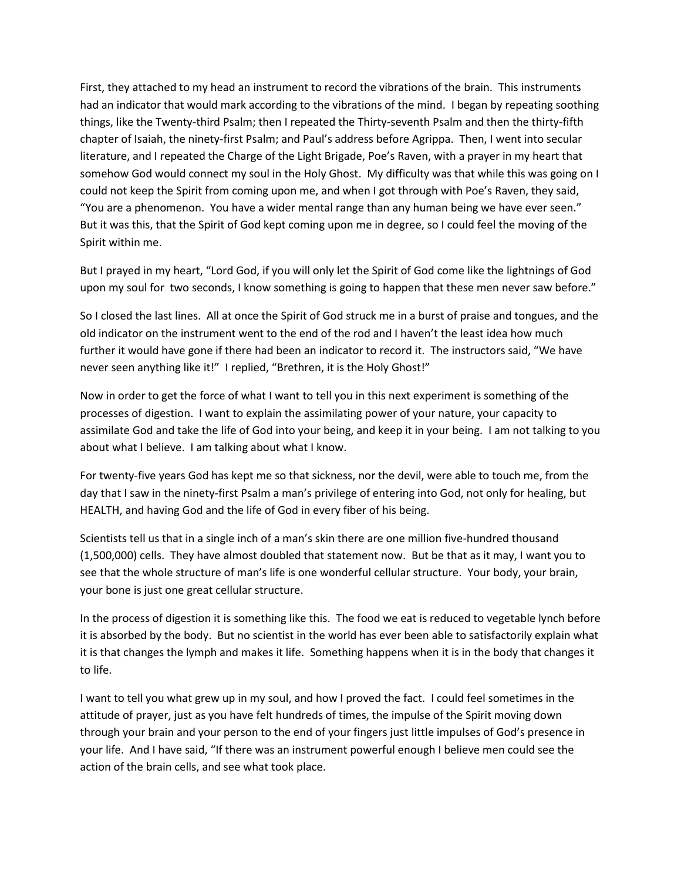First, they attached to my head an instrument to record the vibrations of the brain. This instruments had an indicator that would mark according to the vibrations of the mind. I began by repeating soothing things, like the Twenty-third Psalm; then I repeated the Thirty-seventh Psalm and then the thirty-fifth chapter of Isaiah, the ninety-first Psalm; and Paul's address before Agrippa. Then, I went into secular literature, and I repeated the Charge of the Light Brigade, Poe's Raven, with a prayer in my heart that somehow God would connect my soul in the Holy Ghost. My difficulty was that while this was going on I could not keep the Spirit from coming upon me, and when I got through with Poe's Raven, they said, "You are a phenomenon. You have a wider mental range than any human being we have ever seen." But it was this, that the Spirit of God kept coming upon me in degree, so I could feel the moving of the Spirit within me.

But I prayed in my heart, "Lord God, if you will only let the Spirit of God come like the lightnings of God upon my soul for two seconds, I know something is going to happen that these men never saw before."

So I closed the last lines. All at once the Spirit of God struck me in a burst of praise and tongues, and the old indicator on the instrument went to the end of the rod and I haven't the least idea how much further it would have gone if there had been an indicator to record it. The instructors said, "We have never seen anything like it!" I replied, "Brethren, it is the Holy Ghost!"

Now in order to get the force of what I want to tell you in this next experiment is something of the processes of digestion. I want to explain the assimilating power of your nature, your capacity to assimilate God and take the life of God into your being, and keep it in your being. I am not talking to you about what I believe. I am talking about what I know.

For twenty-five years God has kept me so that sickness, nor the devil, were able to touch me, from the day that I saw in the ninety-first Psalm a man's privilege of entering into God, not only for healing, but HEALTH, and having God and the life of God in every fiber of his being.

Scientists tell us that in a single inch of a man's skin there are one million five-hundred thousand (1,500,000) cells. They have almost doubled that statement now. But be that as it may, I want you to see that the whole structure of man's life is one wonderful cellular structure. Your body, your brain, your bone is just one great cellular structure.

In the process of digestion it is something like this. The food we eat is reduced to vegetable lynch before it is absorbed by the body. But no scientist in the world has ever been able to satisfactorily explain what it is that changes the lymph and makes it life. Something happens when it is in the body that changes it to life.

I want to tell you what grew up in my soul, and how I proved the fact. I could feel sometimes in the attitude of prayer, just as you have felt hundreds of times, the impulse of the Spirit moving down through your brain and your person to the end of your fingers just little impulses of God's presence in your life. And I have said, "If there was an instrument powerful enough I believe men could see the action of the brain cells, and see what took place.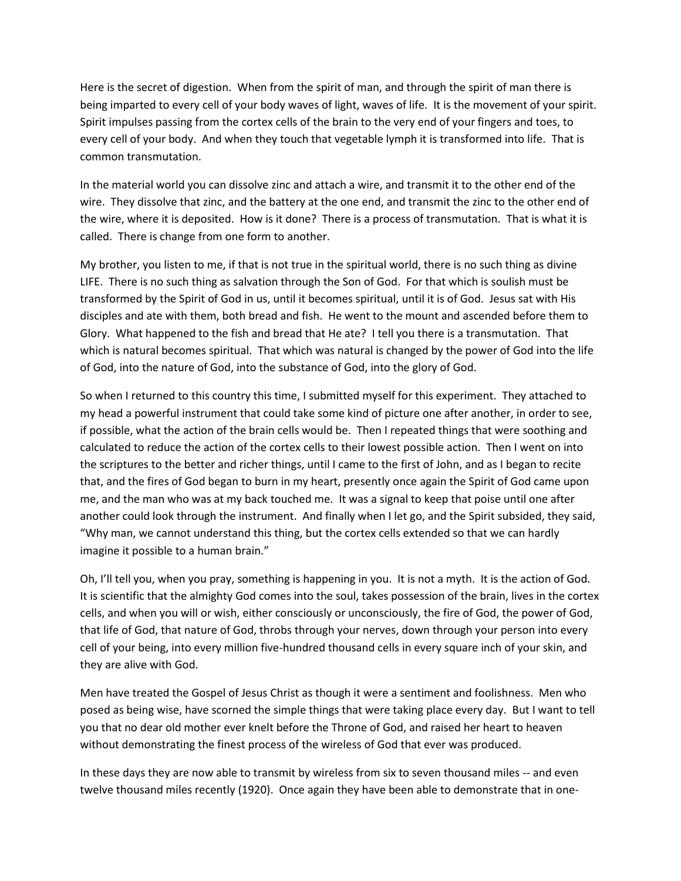Here is the secret of digestion. When from the spirit of man, and through the spirit of man there is being imparted to every cell of your body waves of light, waves of life. It is the movement of your spirit. Spirit impulses passing from the cortex cells of the brain to the very end of your fingers and toes, to every cell of your body. And when they touch that vegetable lymph it is transformed into life. That is common transmutation.

In the material world you can dissolve zinc and attach a wire, and transmit it to the other end of the wire. They dissolve that zinc, and the battery at the one end, and transmit the zinc to the other end of the wire, where it is deposited. How is it done? There is a process of transmutation. That is what it is called. There is change from one form to another.

My brother, you listen to me, if that is not true in the spiritual world, there is no such thing as divine LIFE. There is no such thing as salvation through the Son of God. For that which is soulish must be transformed by the Spirit of God in us, until it becomes spiritual, until it is of God. Jesus sat with His disciples and ate with them, both bread and fish. He went to the mount and ascended before them to Glory. What happened to the fish and bread that He ate? I tell you there is a transmutation. That which is natural becomes spiritual. That which was natural is changed by the power of God into the life of God, into the nature of God, into the substance of God, into the glory of God.

So when I returned to this country this time, I submitted myself for this experiment. They attached to my head a powerful instrument that could take some kind of picture one after another, in order to see, if possible, what the action of the brain cells would be. Then I repeated things that were soothing and calculated to reduce the action of the cortex cells to their lowest possible action. Then I went on into the scriptures to the better and richer things, until I came to the first of John, and as I began to recite that, and the fires of God began to burn in my heart, presently once again the Spirit of God came upon me, and the man who was at my back touched me. It was a signal to keep that poise until one after another could look through the instrument. And finally when I let go, and the Spirit subsided, they said, "Why man, we cannot understand this thing, but the cortex cells extended so that we can hardly imagine it possible to a human brain."

Oh, I'll tell you, when you pray, something is happening in you. It is not a myth. It is the action of God. It is scientific that the almighty God comes into the soul, takes possession of the brain, lives in the cortex cells, and when you will or wish, either consciously or unconsciously, the fire of God, the power of God, that life of God, that nature of God, throbs through your nerves, down through your person into every cell of your being, into every million five-hundred thousand cells in every square inch of your skin, and they are alive with God.

Men have treated the Gospel of Jesus Christ as though it were a sentiment and foolishness. Men who posed as being wise, have scorned the simple things that were taking place every day. But I want to tell you that no dear old mother ever knelt before the Throne of God, and raised her heart to heaven without demonstrating the finest process of the wireless of God that ever was produced.

In these days they are now able to transmit by wireless from six to seven thousand miles -- and even twelve thousand miles recently (1920). Once again they have been able to demonstrate that in one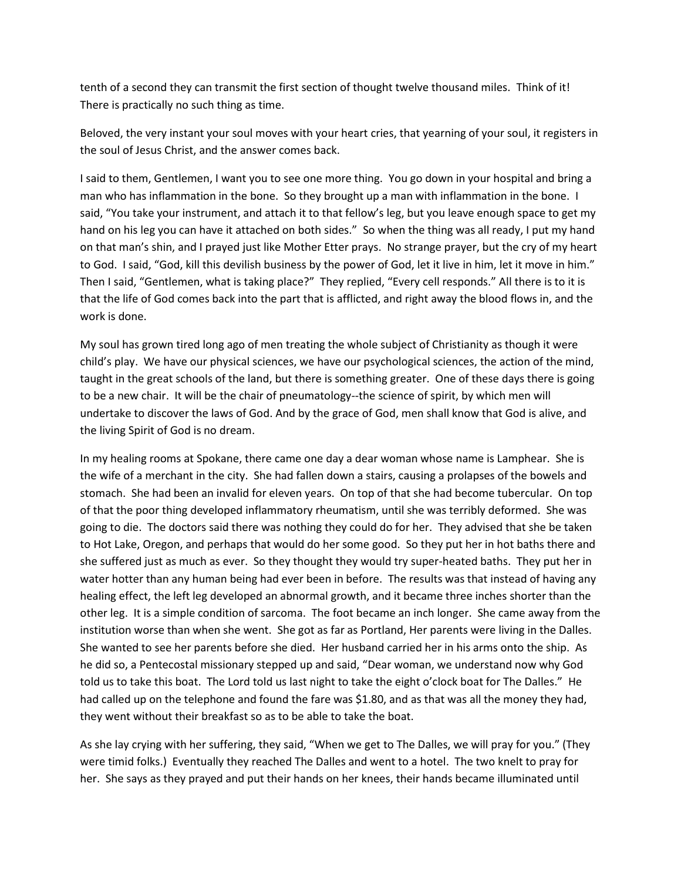tenth of a second they can transmit the first section of thought twelve thousand miles. Think of it! There is practically no such thing as time.

Beloved, the very instant your soul moves with your heart cries, that yearning of your soul, it registers in the soul of Jesus Christ, and the answer comes back.

I said to them, Gentlemen, I want you to see one more thing. You go down in your hospital and bring a man who has inflammation in the bone. So they brought up a man with inflammation in the bone. I said, "You take your instrument, and attach it to that fellow's leg, but you leave enough space to get my hand on his leg you can have it attached on both sides." So when the thing was all ready, I put my hand on that man's shin, and I prayed just like Mother Etter prays. No strange prayer, but the cry of my heart to God. I said, "God, kill this devilish business by the power of God, let it live in him, let it move in him." Then I said, "Gentlemen, what is taking place?" They replied, "Every cell responds." All there is to it is that the life of God comes back into the part that is afflicted, and right away the blood flows in, and the work is done.

My soul has grown tired long ago of men treating the whole subject of Christianity as though it were child's play. We have our physical sciences, we have our psychological sciences, the action of the mind, taught in the great schools of the land, but there is something greater. One of these days there is going to be a new chair. It will be the chair of pneumatology--the science of spirit, by which men will undertake to discover the laws of God. And by the grace of God, men shall know that God is alive, and the living Spirit of God is no dream.

In my healing rooms at Spokane, there came one day a dear woman whose name is Lamphear. She is the wife of a merchant in the city. She had fallen down a stairs, causing a prolapses of the bowels and stomach. She had been an invalid for eleven years. On top of that she had become tubercular. On top of that the poor thing developed inflammatory rheumatism, until she was terribly deformed. She was going to die. The doctors said there was nothing they could do for her. They advised that she be taken to Hot Lake, Oregon, and perhaps that would do her some good. So they put her in hot baths there and she suffered just as much as ever. So they thought they would try super-heated baths. They put her in water hotter than any human being had ever been in before. The results was that instead of having any healing effect, the left leg developed an abnormal growth, and it became three inches shorter than the other leg. It is a simple condition of sarcoma. The foot became an inch longer. She came away from the institution worse than when she went. She got as far as Portland, Her parents were living in the Dalles. She wanted to see her parents before she died. Her husband carried her in his arms onto the ship. As he did so, a Pentecostal missionary stepped up and said, "Dear woman, we understand now why God told us to take this boat. The Lord told us last night to take the eight o'clock boat for The Dalles." He had called up on the telephone and found the fare was \$1.80, and as that was all the money they had, they went without their breakfast so as to be able to take the boat.

As she lay crying with her suffering, they said, "When we get to The Dalles, we will pray for you." (They were timid folks.) Eventually they reached The Dalles and went to a hotel. The two knelt to pray for her. She says as they prayed and put their hands on her knees, their hands became illuminated until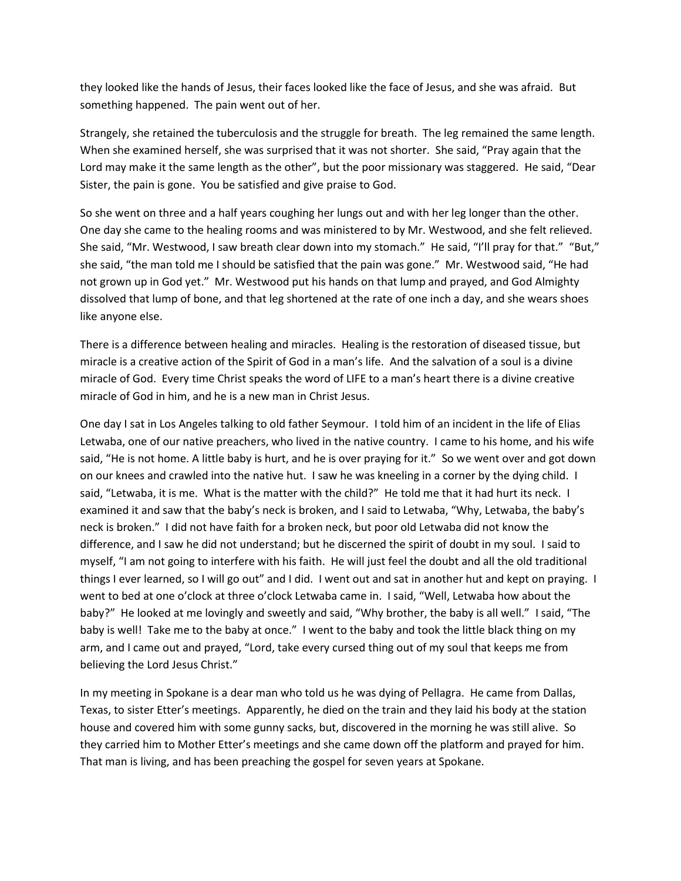they looked like the hands of Jesus, their faces looked like the face of Jesus, and she was afraid. But something happened. The pain went out of her.

Strangely, she retained the tuberculosis and the struggle for breath. The leg remained the same length. When she examined herself, she was surprised that it was not shorter. She said, "Pray again that the Lord may make it the same length as the other", but the poor missionary was staggered. He said, "Dear Sister, the pain is gone. You be satisfied and give praise to God.

So she went on three and a half years coughing her lungs out and with her leg longer than the other. One day she came to the healing rooms and was ministered to by Mr. Westwood, and she felt relieved. She said, "Mr. Westwood, I saw breath clear down into my stomach." He said, "I'll pray for that." "But," she said, "the man told me I should be satisfied that the pain was gone." Mr. Westwood said, "He had not grown up in God yet." Mr. Westwood put his hands on that lump and prayed, and God Almighty dissolved that lump of bone, and that leg shortened at the rate of one inch a day, and she wears shoes like anyone else.

There is a difference between healing and miracles. Healing is the restoration of diseased tissue, but miracle is a creative action of the Spirit of God in a man's life. And the salvation of a soul is a divine miracle of God. Every time Christ speaks the word of LIFE to a man's heart there is a divine creative miracle of God in him, and he is a new man in Christ Jesus.

One day I sat in Los Angeles talking to old father Seymour. I told him of an incident in the life of Elias Letwaba, one of our native preachers, who lived in the native country. I came to his home, and his wife said, "He is not home. A little baby is hurt, and he is over praying for it." So we went over and got down on our knees and crawled into the native hut. I saw he was kneeling in a corner by the dying child. I said, "Letwaba, it is me. What is the matter with the child?" He told me that it had hurt its neck. I examined it and saw that the baby's neck is broken, and I said to Letwaba, "Why, Letwaba, the baby's neck is broken." I did not have faith for a broken neck, but poor old Letwaba did not know the difference, and I saw he did not understand; but he discerned the spirit of doubt in my soul. I said to myself, "I am not going to interfere with his faith. He will just feel the doubt and all the old traditional things I ever learned, so I will go out" and I did. I went out and sat in another hut and kept on praying. I went to bed at one o'clock at three o'clock Letwaba came in. I said, "Well, Letwaba how about the baby?" He looked at me lovingly and sweetly and said, "Why brother, the baby is all well." I said, "The baby is well! Take me to the baby at once." I went to the baby and took the little black thing on my arm, and I came out and prayed, "Lord, take every cursed thing out of my soul that keeps me from believing the Lord Jesus Christ."

In my meeting in Spokane is a dear man who told us he was dying of Pellagra. He came from Dallas, Texas, to sister Etter's meetings. Apparently, he died on the train and they laid his body at the station house and covered him with some gunny sacks, but, discovered in the morning he was still alive. So they carried him to Mother Etter's meetings and she came down off the platform and prayed for him. That man is living, and has been preaching the gospel for seven years at Spokane.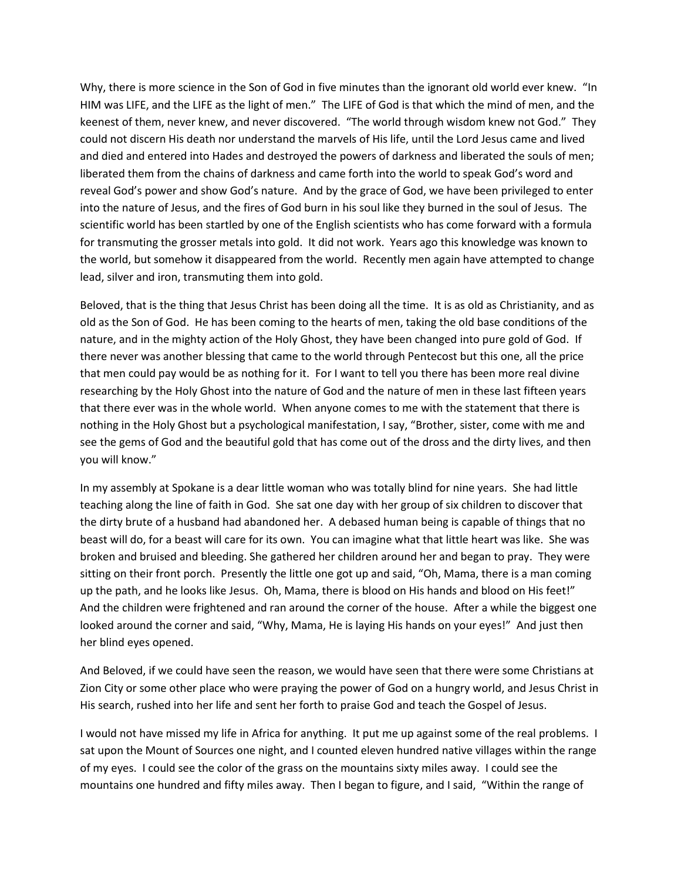Why, there is more science in the Son of God in five minutes than the ignorant old world ever knew. "In HIM was LIFE, and the LIFE as the light of men." The LIFE of God is that which the mind of men, and the keenest of them, never knew, and never discovered. "The world through wisdom knew not God." They could not discern His death nor understand the marvels of His life, until the Lord Jesus came and lived and died and entered into Hades and destroyed the powers of darkness and liberated the souls of men; liberated them from the chains of darkness and came forth into the world to speak God's word and reveal God's power and show God's nature. And by the grace of God, we have been privileged to enter into the nature of Jesus, and the fires of God burn in his soul like they burned in the soul of Jesus. The scientific world has been startled by one of the English scientists who has come forward with a formula for transmuting the grosser metals into gold. It did not work. Years ago this knowledge was known to the world, but somehow it disappeared from the world. Recently men again have attempted to change lead, silver and iron, transmuting them into gold.

Beloved, that is the thing that Jesus Christ has been doing all the time. It is as old as Christianity, and as old as the Son of God. He has been coming to the hearts of men, taking the old base conditions of the nature, and in the mighty action of the Holy Ghost, they have been changed into pure gold of God. If there never was another blessing that came to the world through Pentecost but this one, all the price that men could pay would be as nothing for it. For I want to tell you there has been more real divine researching by the Holy Ghost into the nature of God and the nature of men in these last fifteen years that there ever was in the whole world. When anyone comes to me with the statement that there is nothing in the Holy Ghost but a psychological manifestation, I say, "Brother, sister, come with me and see the gems of God and the beautiful gold that has come out of the dross and the dirty lives, and then you will know."

In my assembly at Spokane is a dear little woman who was totally blind for nine years. She had little teaching along the line of faith in God. She sat one day with her group of six children to discover that the dirty brute of a husband had abandoned her. A debased human being is capable of things that no beast will do, for a beast will care for its own. You can imagine what that little heart was like. She was broken and bruised and bleeding. She gathered her children around her and began to pray. They were sitting on their front porch. Presently the little one got up and said, "Oh, Mama, there is a man coming up the path, and he looks like Jesus. Oh, Mama, there is blood on His hands and blood on His feet!" And the children were frightened and ran around the corner of the house. After a while the biggest one looked around the corner and said, "Why, Mama, He is laying His hands on your eyes!" And just then her blind eyes opened.

And Beloved, if we could have seen the reason, we would have seen that there were some Christians at Zion City or some other place who were praying the power of God on a hungry world, and Jesus Christ in His search, rushed into her life and sent her forth to praise God and teach the Gospel of Jesus.

I would not have missed my life in Africa for anything. It put me up against some of the real problems. I sat upon the Mount of Sources one night, and I counted eleven hundred native villages within the range of my eyes. I could see the color of the grass on the mountains sixty miles away. I could see the mountains one hundred and fifty miles away. Then I began to figure, and I said, "Within the range of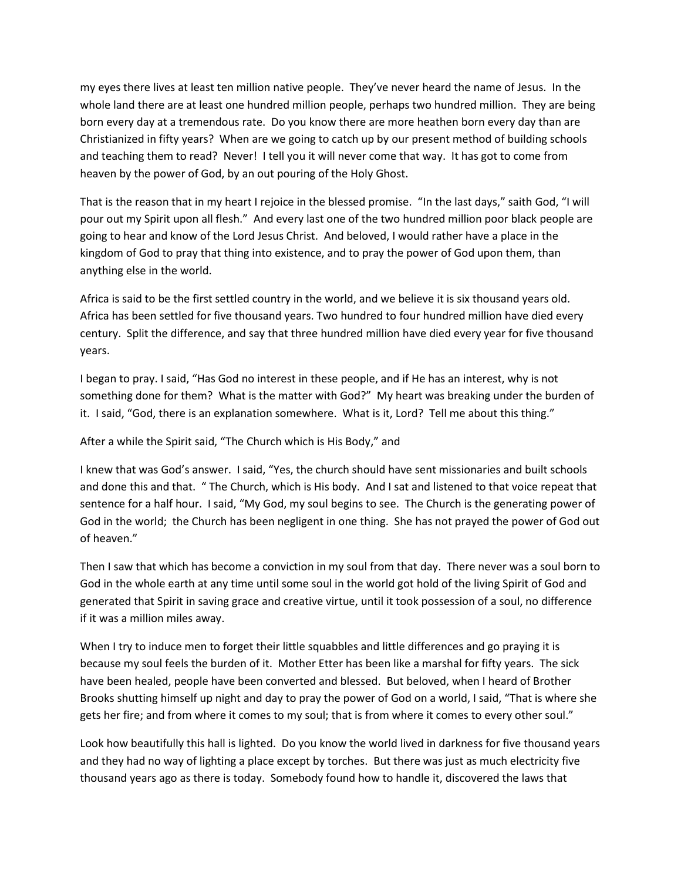my eyes there lives at least ten million native people. They've never heard the name of Jesus. In the whole land there are at least one hundred million people, perhaps two hundred million. They are being born every day at a tremendous rate. Do you know there are more heathen born every day than are Christianized in fifty years? When are we going to catch up by our present method of building schools and teaching them to read? Never! I tell you it will never come that way. It has got to come from heaven by the power of God, by an out pouring of the Holy Ghost.

That is the reason that in my heart I rejoice in the blessed promise. "In the last days," saith God, "I will pour out my Spirit upon all flesh." And every last one of the two hundred million poor black people are going to hear and know of the Lord Jesus Christ. And beloved, I would rather have a place in the kingdom of God to pray that thing into existence, and to pray the power of God upon them, than anything else in the world.

Africa is said to be the first settled country in the world, and we believe it is six thousand years old. Africa has been settled for five thousand years. Two hundred to four hundred million have died every century. Split the difference, and say that three hundred million have died every year for five thousand years.

I began to pray. I said, "Has God no interest in these people, and if He has an interest, why is not something done for them? What is the matter with God?" My heart was breaking under the burden of it. I said, "God, there is an explanation somewhere. What is it, Lord? Tell me about this thing."

After a while the Spirit said, "The Church which is His Body," and

I knew that was God's answer. I said, "Yes, the church should have sent missionaries and built schools and done this and that. " The Church, which is His body. And I sat and listened to that voice repeat that sentence for a half hour. I said, "My God, my soul begins to see. The Church is the generating power of God in the world; the Church has been negligent in one thing. She has not prayed the power of God out of heaven."

Then I saw that which has become a conviction in my soul from that day. There never was a soul born to God in the whole earth at any time until some soul in the world got hold of the living Spirit of God and generated that Spirit in saving grace and creative virtue, until it took possession of a soul, no difference if it was a million miles away.

When I try to induce men to forget their little squabbles and little differences and go praying it is because my soul feels the burden of it. Mother Etter has been like a marshal for fifty years. The sick have been healed, people have been converted and blessed. But beloved, when I heard of Brother Brooks shutting himself up night and day to pray the power of God on a world, I said, "That is where she gets her fire; and from where it comes to my soul; that is from where it comes to every other soul."

Look how beautifully this hall is lighted. Do you know the world lived in darkness for five thousand years and they had no way of lighting a place except by torches. But there was just as much electricity five thousand years ago as there is today. Somebody found how to handle it, discovered the laws that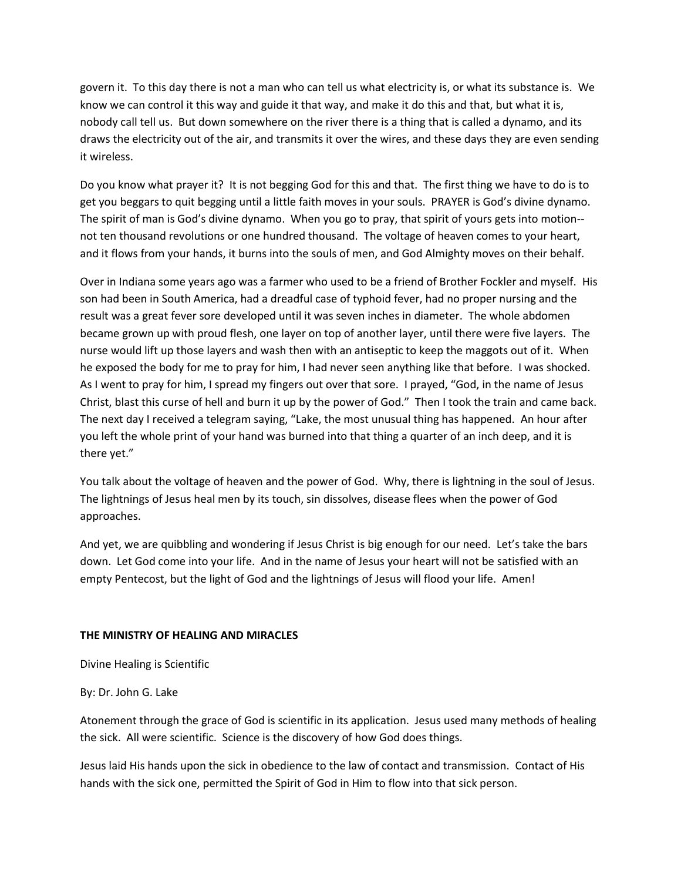govern it. To this day there is not a man who can tell us what electricity is, or what its substance is. We know we can control it this way and guide it that way, and make it do this and that, but what it is, nobody call tell us. But down somewhere on the river there is a thing that is called a dynamo, and its draws the electricity out of the air, and transmits it over the wires, and these days they are even sending it wireless.

Do you know what prayer it? It is not begging God for this and that. The first thing we have to do is to get you beggars to quit begging until a little faith moves in your souls. PRAYER is God's divine dynamo. The spirit of man is God's divine dynamo. When you go to pray, that spirit of yours gets into motion- not ten thousand revolutions or one hundred thousand. The voltage of heaven comes to your heart, and it flows from your hands, it burns into the souls of men, and God Almighty moves on their behalf.

Over in Indiana some years ago was a farmer who used to be a friend of Brother Fockler and myself. His son had been in South America, had a dreadful case of typhoid fever, had no proper nursing and the result was a great fever sore developed until it was seven inches in diameter. The whole abdomen became grown up with proud flesh, one layer on top of another layer, until there were five layers. The nurse would lift up those layers and wash then with an antiseptic to keep the maggots out of it. When he exposed the body for me to pray for him, I had never seen anything like that before. I was shocked. As I went to pray for him, I spread my fingers out over that sore. I prayed, "God, in the name of Jesus Christ, blast this curse of hell and burn it up by the power of God." Then I took the train and came back. The next day I received a telegram saying, "Lake, the most unusual thing has happened. An hour after you left the whole print of your hand was burned into that thing a quarter of an inch deep, and it is there yet."

You talk about the voltage of heaven and the power of God. Why, there is lightning in the soul of Jesus. The lightnings of Jesus heal men by its touch, sin dissolves, disease flees when the power of God approaches.

And yet, we are quibbling and wondering if Jesus Christ is big enough for our need. Let's take the bars down. Let God come into your life. And in the name of Jesus your heart will not be satisfied with an empty Pentecost, but the light of God and the lightnings of Jesus will flood your life. Amen!

### **THE MINISTRY OF HEALING AND MIRACLES**

Divine Healing is Scientific

By: Dr. John G. Lake

Atonement through the grace of God is scientific in its application. Jesus used many methods of healing the sick. All were scientific. Science is the discovery of how God does things.

Jesus laid His hands upon the sick in obedience to the law of contact and transmission. Contact of His hands with the sick one, permitted the Spirit of God in Him to flow into that sick person.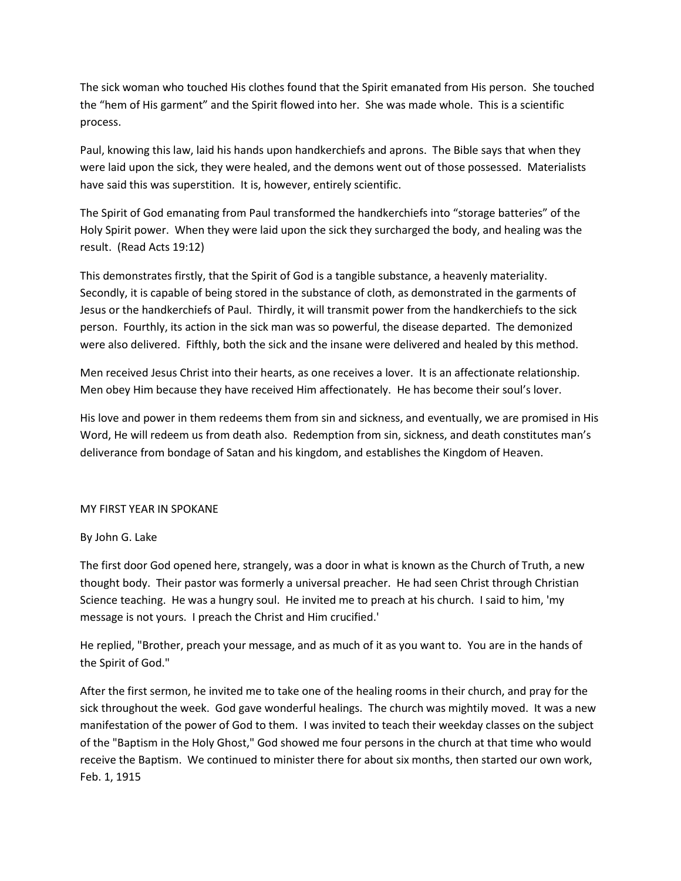The sick woman who touched His clothes found that the Spirit emanated from His person. She touched the "hem of His garment" and the Spirit flowed into her. She was made whole. This is a scientific process.

Paul, knowing this law, laid his hands upon handkerchiefs and aprons. The Bible says that when they were laid upon the sick, they were healed, and the demons went out of those possessed. Materialists have said this was superstition. It is, however, entirely scientific.

The Spirit of God emanating from Paul transformed the handkerchiefs into "storage batteries" of the Holy Spirit power. When they were laid upon the sick they surcharged the body, and healing was the result. (Read Acts 19:12)

This demonstrates firstly, that the Spirit of God is a tangible substance, a heavenly materiality. Secondly, it is capable of being stored in the substance of cloth, as demonstrated in the garments of Jesus or the handkerchiefs of Paul. Thirdly, it will transmit power from the handkerchiefs to the sick person. Fourthly, its action in the sick man was so powerful, the disease departed. The demonized were also delivered. Fifthly, both the sick and the insane were delivered and healed by this method.

Men received Jesus Christ into their hearts, as one receives a lover. It is an affectionate relationship. Men obey Him because they have received Him affectionately. He has become their soul's lover.

His love and power in them redeems them from sin and sickness, and eventually, we are promised in His Word, He will redeem us from death also. Redemption from sin, sickness, and death constitutes man's deliverance from bondage of Satan and his kingdom, and establishes the Kingdom of Heaven.

### MY FIRST YEAR IN SPOKANE

### By John G. Lake

The first door God opened here, strangely, was a door in what is known as the Church of Truth, a new thought body. Their pastor was formerly a universal preacher. He had seen Christ through Christian Science teaching. He was a hungry soul. He invited me to preach at his church. I said to him, 'my message is not yours. I preach the Christ and Him crucified.'

He replied, "Brother, preach your message, and as much of it as you want to. You are in the hands of the Spirit of God."

After the first sermon, he invited me to take one of the healing rooms in their church, and pray for the sick throughout the week. God gave wonderful healings. The church was mightily moved. It was a new manifestation of the power of God to them. I was invited to teach their weekday classes on the subject of the "Baptism in the Holy Ghost," God showed me four persons in the church at that time who would receive the Baptism. We continued to minister there for about six months, then started our own work, Feb. 1, 1915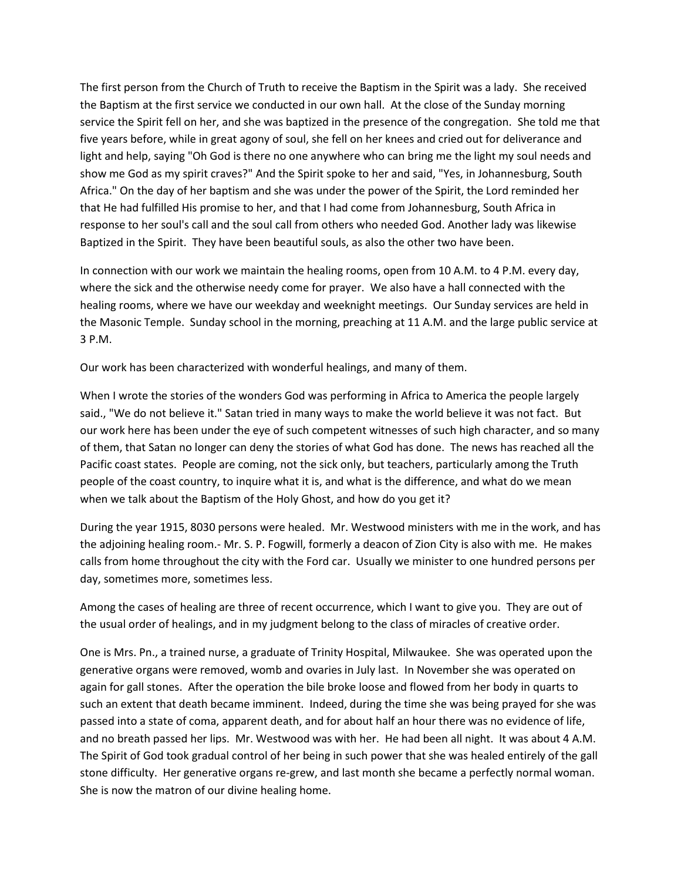The first person from the Church of Truth to receive the Baptism in the Spirit was a lady. She received the Baptism at the first service we conducted in our own hall. At the close of the Sunday morning service the Spirit fell on her, and she was baptized in the presence of the congregation. She told me that five years before, while in great agony of soul, she fell on her knees and cried out for deliverance and light and help, saying "Oh God is there no one anywhere who can bring me the light my soul needs and show me God as my spirit craves?" And the Spirit spoke to her and said, "Yes, in Johannesburg, South Africa." On the day of her baptism and she was under the power of the Spirit, the Lord reminded her that He had fulfilled His promise to her, and that I had come from Johannesburg, South Africa in response to her soul's call and the soul call from others who needed God. Another lady was likewise Baptized in the Spirit. They have been beautiful souls, as also the other two have been.

In connection with our work we maintain the healing rooms, open from 10 A.M. to 4 P.M. every day, where the sick and the otherwise needy come for prayer. We also have a hall connected with the healing rooms, where we have our weekday and weeknight meetings. Our Sunday services are held in the Masonic Temple. Sunday school in the morning, preaching at 11 A.M. and the large public service at 3 P.M.

Our work has been characterized with wonderful healings, and many of them.

When I wrote the stories of the wonders God was performing in Africa to America the people largely said., "We do not believe it." Satan tried in many ways to make the world believe it was not fact. But our work here has been under the eye of such competent witnesses of such high character, and so many of them, that Satan no longer can deny the stories of what God has done. The news has reached all the Pacific coast states. People are coming, not the sick only, but teachers, particularly among the Truth people of the coast country, to inquire what it is, and what is the difference, and what do we mean when we talk about the Baptism of the Holy Ghost, and how do you get it?

During the year 1915, 8030 persons were healed. Mr. Westwood ministers with me in the work, and has the adjoining healing room.- Mr. S. P. Fogwill, formerly a deacon of Zion City is also with me. He makes calls from home throughout the city with the Ford car. Usually we minister to one hundred persons per day, sometimes more, sometimes less.

Among the cases of healing are three of recent occurrence, which I want to give you. They are out of the usual order of healings, and in my judgment belong to the class of miracles of creative order.

One is Mrs. Pn., a trained nurse, a graduate of Trinity Hospital, Milwaukee. She was operated upon the generative organs were removed, womb and ovaries in July last. In November she was operated on again for gall stones. After the operation the bile broke loose and flowed from her body in quarts to such an extent that death became imminent. Indeed, during the time she was being prayed for she was passed into a state of coma, apparent death, and for about half an hour there was no evidence of life, and no breath passed her lips. Mr. Westwood was with her. He had been all night. It was about 4 A.M. The Spirit of God took gradual control of her being in such power that she was healed entirely of the gall stone difficulty. Her generative organs re-grew, and last month she became a perfectly normal woman. She is now the matron of our divine healing home.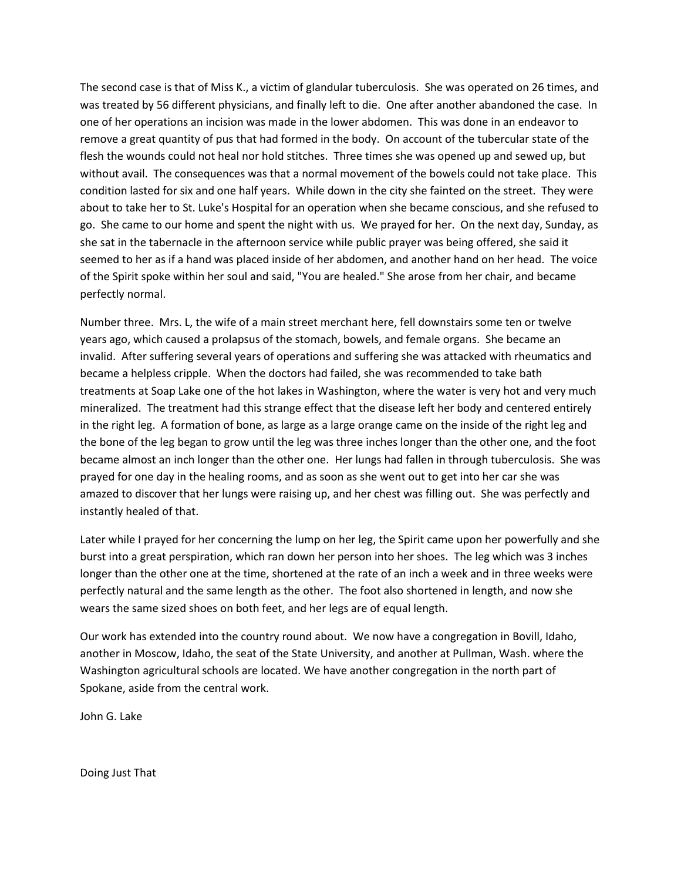The second case is that of Miss K., a victim of glandular tuberculosis. She was operated on 26 times, and was treated by 56 different physicians, and finally left to die. One after another abandoned the case. In one of her operations an incision was made in the lower abdomen. This was done in an endeavor to remove a great quantity of pus that had formed in the body. On account of the tubercular state of the flesh the wounds could not heal nor hold stitches. Three times she was opened up and sewed up, but without avail. The consequences was that a normal movement of the bowels could not take place. This condition lasted for six and one half years. While down in the city she fainted on the street. They were about to take her to St. Luke's Hospital for an operation when she became conscious, and she refused to go. She came to our home and spent the night with us. We prayed for her. On the next day, Sunday, as she sat in the tabernacle in the afternoon service while public prayer was being offered, she said it seemed to her as if a hand was placed inside of her abdomen, and another hand on her head. The voice of the Spirit spoke within her soul and said, "You are healed." She arose from her chair, and became perfectly normal.

Number three. Mrs. L, the wife of a main street merchant here, fell downstairs some ten or twelve years ago, which caused a prolapsus of the stomach, bowels, and female organs. She became an invalid. After suffering several years of operations and suffering she was attacked with rheumatics and became a helpless cripple. When the doctors had failed, she was recommended to take bath treatments at Soap Lake one of the hot lakes in Washington, where the water is very hot and very much mineralized. The treatment had this strange effect that the disease left her body and centered entirely in the right leg. A formation of bone, as large as a large orange came on the inside of the right leg and the bone of the leg began to grow until the leg was three inches longer than the other one, and the foot became almost an inch longer than the other one. Her lungs had fallen in through tuberculosis. She was prayed for one day in the healing rooms, and as soon as she went out to get into her car she was amazed to discover that her lungs were raising up, and her chest was filling out. She was perfectly and instantly healed of that.

Later while I prayed for her concerning the lump on her leg, the Spirit came upon her powerfully and she burst into a great perspiration, which ran down her person into her shoes. The leg which was 3 inches longer than the other one at the time, shortened at the rate of an inch a week and in three weeks were perfectly natural and the same length as the other. The foot also shortened in length, and now she wears the same sized shoes on both feet, and her legs are of equal length.

Our work has extended into the country round about. We now have a congregation in Bovill, Idaho, another in Moscow, Idaho, the seat of the State University, and another at Pullman, Wash. where the Washington agricultural schools are located. We have another congregation in the north part of Spokane, aside from the central work.

John G. Lake

Doing Just That